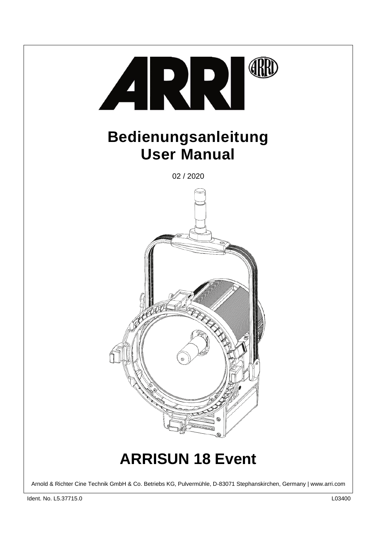

Arnold & Richter Cine Technik GmbH & Co. Betriebs KG, Pulvermühle, D-83071 Stephanskirchen, Germany | www.arri.com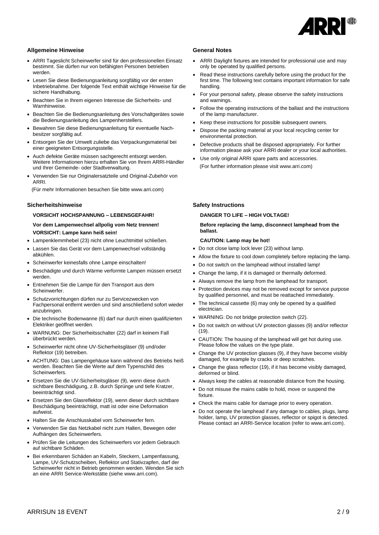

# **Allgemeine Hinweise**

- ARRI Tageslicht Scheinwerfer sind für den professionellen Einsatz bestimmt. Sie dürfen nur von befähigten Personen betrieben werden.
- Lesen Sie diese Bedienungsanleitung sorgfältig vor der ersten Inbetriebnahme. Der folgende Text enthält wichtige Hinweise für die sichere Handhabung.
- Beachten Sie in Ihrem eigenen Interesse die Sicherheits- und Warnhinweise.
- Beachten Sie die Bedienungsanleitung des Vorschaltgerätes sowie die Bedienungsanleitung des Lampenherstellers.
- Bewahren Sie diese Bedienungsanleitung für eventuelle Nachbesitzer sorgfältig auf.
- Entsorgen Sie der Umwelt zuliebe das Verpackungsmaterial bei einer geeigneten Entsorgungsstelle.
- Auch defekte Geräte müssen sachgerecht entsorgt werden. Weitere Informationen hierzu erhalten Sie von Ihrem ARRI-Händler und Ihrer Gemeinde- oder Stadtverwaltung.
- Verwenden Sie nur Originalersatzteile und Original-Zubehör von ARRI.

(Für mehr Informationen besuchen Sie bitte www.arri.com)

### **Sicherheitshinweise**

### **VORSICHT HOCHSPANNUNG – LEBENSGEFAHR!**

 **Vor dem Lampenwechsel allpolig vom Netz trennen! VORSICHT: Lampe kann heiß sein!**

- Lampenklemmhebel (23) nicht ohne Leuchtmittel schließen.
- Lassen Sie das Gerät vor dem Lampenwechsel vollständig abkühlen.
- Scheinwerfer keinesfalls ohne Lampe einschalten!
- Beschädigte und durch Wärme verformte Lampen müssen ersetzt werden.
- Entnehmen Sie die Lampe für den Transport aus dem Scheinwerfer.
- Schutzvorrichtungen dürfen nur zu Servicezwecken von Fachpersonal entfernt werden und sind anschließend sofort wieder anzubringen.
- Die technische Bodenwanne (6) darf nur durch einen qualifizierten Elektriker geöffnet werden.
- WARNUNG: Der Sicherheitsschalter (22) darf in keinem Fall überbrückt werden.
- Scheinwerfer nicht ohne UV-Sicherheitsgläser (9) und/oder Reflektor (19) betreiben.
- ACHTUNG: Das Lampengehäuse kann während des Betriebs heiß werden. Beachten Sie die Werte auf dem Typenschild des **Scheinwerfers**
- Ersetzen Sie die UV-Sicherheitsgläser (9), wenn diese durch sichtbare Beschädigung, z.B. durch Sprünge und tiefe Kratzer, beeinträchtigt sind.
- Ersetzen Sie den Glasreflektor (19), wenn dieser durch sichtbare Beschädigung beeinträchtigt, matt ist oder eine Deformation aufweist.
- Halten Sie die Anschlusskabel vom Scheinwerfer fern.
- Verwenden Sie das Netzkabel nicht zum Halten, Bewegen oder Aufhängen des Scheinwerfers.
- Prüfen Sie die Leitungen des Scheinwerfers vor jedem Gebrauch auf sichtbare Schäden.
- Bei erkennbaren Schäden an Kabeln, Steckern, Lampenfassung, Lampe, UV-Schutzscheiben, Reflektor und Stativzapfen, darf der Scheinwerfer nicht in Betrieb genommen werden. Wenden Sie sich an eine ARRI Service-Werkstätte (siehe www.arri.com).

#### **General Notes**

- ARRI Daylight fixtures are intended for professional use and may only be operated by qualified persons.
- Read these instructions carefully before using the product for the first time. The following text contains important information for safe handling.
- For your personal safety, please observe the safety instructions and warnings.
- Follow the operating instructions of the ballast and the instructions of the lamp manufacturer.
- Keep these instructions for possible subsequent owners.
- Dispose the packing material at your local recycling center for environmental protection.
- Defective products shall be disposed appropriately. For further information please ask your ARRI dealer or your local authorities.
- Use only original ARRI spare parts and accessories. (For further information please visit www.arri.com)

### **Safety Instructions**

### **DANGER TO LIFE – HIGH VOLTAGE!**

### **Before replacing the lamp, disconnect lamphead from the ballast.**

### **CAUTION: Lamp may be hot!**

- Do not close lamp lock lever (23) without lamp.
- Allow the fixture to cool down completely before replacing the lamp.
- Do not switch on the lamphead without installed lamp!
- Change the lamp, if it is damaged or thermally deformed.
- Always remove the lamp from the lamphead for transport.
- Protection devices may not be removed except for service purpose by qualified personnel, and must be reattached immediately.
- The technical cassette (6) may only be opened by a qualified electrician.
- WARNING: Do not bridge protection switch (22).
- Do not switch on without UV protection glasses (9) and/or reflector (19).
- CAUTION: The housing of the lamphead will get hot during use. Please follow the values on the type plate.
- Change the UV protection glasses (9), if they have become visibly damaged, for example by cracks or deep scratches.
- Change the glass reflector (19), if it has become visibly damaged, deformed or blind.
- Always keep the cables at reasonable distance from the housing.
- Do not misuse the mains cable to hold, move or suspend the fixture
- Check the mains cable for damage prior to every operation.
- Do not operate the lamphead if any damage to cables, plugs, lamp holder, lamp, UV protection glasses, reflector or spigot is detected. Please contact an ARRI-Service location (refer to www.arri.com).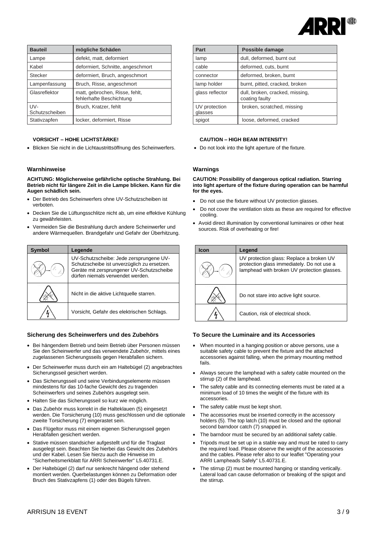

| <b>Bauteil</b>        | mögliche Schäden                                           |
|-----------------------|------------------------------------------------------------|
| Lampe                 | defekt, matt, deformiert                                   |
| Kabel                 | deformiert, Schnitte, angeschmort                          |
| <b>Stecker</b>        | deformiert, Bruch, angeschmort                             |
| Lampenfassung         | Bruch, Risse, angeschmort                                  |
| Glasreflektor         | matt, gebrochen, Risse, fehlt,<br>fehlerhafte Beschichtung |
| UV-<br>Schutzscheiben | Bruch, Kratzer, fehlt                                      |
| Stativzapfen          | locker, deformiert, Risse                                  |

### **VORSICHT – HOHE LICHTSTÄRKE!**

• Blicken Sie nicht in die Lichtaustrittsöffnung des Scheinwerfers.

### **Warnhinweise**

**ACHTUNG: Möglicherweise gefährliche optische Strahlung. Bei Betrieb nicht für längere Zeit in die Lampe blicken. Kann für die Augen schädlich sein.**

- Der Betrieb des Scheinwerfers ohne UV-Schutzscheiben ist verboten.
- Decken Sie die Lüftungsschlitze nicht ab, um eine effektive Kühlung zu gewährleisten.
- Vermeiden Sie die Bestrahlung durch andere Scheinwerfer und andere Wärmequellen. Brandgefahr und Gefahr der Überhitzung.

| Symbol | Legende                                                                                                                                                                 |
|--------|-------------------------------------------------------------------------------------------------------------------------------------------------------------------------|
|        | UV-Schutzscheibe: Jede zersprungene UV-<br>Schutzscheibe ist unverzüglich zu ersetzen.<br>Geräte mit zersprungener UV-Schutzscheibe<br>dürfen niemals verwendet werden. |
|        | Nicht in die aktive Lichtquelle starren.                                                                                                                                |
|        | Vorsicht, Gefahr des elektrischen Schlags.                                                                                                                              |

### **Sicherung des Scheinwerfers und des Zubehörs**

- Bei hängendem Betrieb und beim Betrieb über Personen müssen Sie den Scheinwerfer und das verwendete Zubehör, mittels eines zugelassenen Sicherungsseils gegen Herabfallen sichern.
- Der Scheinwerfer muss durch ein am Haltebügel (2) angebrachtes Sicherungsseil gesichert werden.
- Das Sicherungsseil und seine Verbindungselemente müssen mindestens für das 10-fache Gewicht des zu tragenden Scheinwerfers und seines Zubehörs ausgelegt sein.
- Halten Sie das Sicherungsseil so kurz wie möglich.
- Das Zubehör muss korrekt in die Halteklauen (5) eingesetzt werden. Die Torsicherung (10) muss geschlossen und die optionale zweite Torsicherung (7) eingerastet sein.
- Das Flügeltor muss mit einem eigenen Sicherungsseil gegen Herabfallen gesichert werden.
- Stative müssen standsicher aufgestellt und für die Traglast ausgelegt sein. Beachten Sie hierbei das Gewicht des Zubehörs und der Kabel. Lesen Sie hierzu auch die Hinweise im "Sicherheitsmerkblatt für ARRI Scheinwerfer" L5.40731.E.
- Der Haltebügel (2) darf nur senkrecht hängend oder stehend montiert werden. Querbelastungen können zu Deformation oder Bruch des Stativzapfens (1) oder des Bügels führen.

| Part                     | Possible damage                                   |
|--------------------------|---------------------------------------------------|
| lamp                     | dull, deformed, burnt out                         |
| cable                    | deformed, cuts, burnt                             |
| connector                | deformed, broken, burnt                           |
| lamp holder              | burnt, pitted, cracked, broken                    |
| glass reflector          | dull, broken, cracked, missing,<br>coating faulty |
| UV protection<br>glasses | broken, scratched, missing                        |
| spigot                   | loose, deformed, cracked                          |

#### **CAUTION – HIGH BEAM INTENSITY!**

• Do not look into the light aperture of the fixture.

# **Warnings**

**CAUTION: Possibility of dangerous optical radiation. Starring into light aperture of the fixture during operation can be harmful for the eyes.**

- Do not use the fixture without UV protection glasses.
- Do not cover the ventilation slots as these are required for effective cooling.
- Avoid direct illumination by conventional luminaires or other heat sources. Risk of overheating or fire!

| Icon | Legend                                                                                                                                |
|------|---------------------------------------------------------------------------------------------------------------------------------------|
|      | UV protection glass: Replace a broken UV<br>protection glass immediately. Do not use a<br>lamphead with broken UV protection glasses. |
|      | Do not stare into active light source.                                                                                                |
|      | Caution, risk of electrical shock.                                                                                                    |

#### **To Secure the Luminaire and its Accessories**

- When mounted in a hanging position or above persons, use a suitable safety cable to prevent the fixture and the attached accessories against falling, when the primary mounting method fails.
- Always secure the lamphead with a safety cable mounted on the stirrup (2) of the lamphead.
- The safety cable and its connecting elements must be rated at a minimum load of 10 times the weight of the fixture with its accessories.
- The safety cable must be kept short.
- The accessories must be inserted correctly in the accessory holders (5). The top latch (10) must be closed and the optional second barndoor catch (7) snapped in.
- The barndoor must be secured by an additional safety cable.
- Tripods must be set up in a stable way and must be rated to carry the required load. Please observe the weight of the accessories and the cables. Please refer also to our leaflet "Operating your ARRI Lampheads Safely" L5.40731.E.
- The stirrup (2) must be mounted hanging or standing vertically. Lateral load can cause deformation or breaking of the spigot and the stirrup.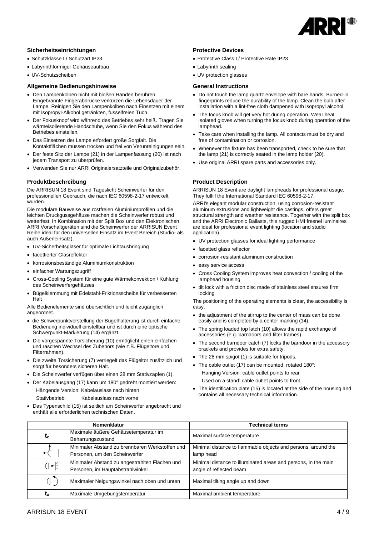

# **Sicherheitseinrichtungen**

- Schutzklasse I / Schutzart IP23
- • Labyrinthförmiger Gehäuseaufbau
- • UV-Schutzscheiben

# **Allgemeine Bedienungshinweise**

- Den Lampenkolben nicht mit bloßen Händen berühren. Eingebrannte Fingerabdrücke verkürzen die Lebensdauer der Lampe. Reinigen Sie den Lampenkolben nach Einsetzen mit einem mit Isopropyl-Alkohol getränkten, fusselfreien Tuch.
- Der Fokusknopf wird während des Betriebes sehr heiß. Tragen Sie wärmeisolierende Handschuhe, wenn Sie den Fokus während des Betriebes einstellen.
- Das Einsetzen der Lampe erfordert große Sorgfalt. Die Kontaktflächen müssen trocken und frei von Verunreinigungen sein.
- Der feste Sitz der Lampe (21) in der Lampenfassung (20) ist nach jedem Transport zu überprüfen.
- Verwenden Sie nur ARRI Originalersatzteile und Originalzubehör.

### **Produktbeschreibung**

Die ARRISUN 18 Event sind Tageslicht Scheinwerfer für den professionellen Gebrauch, die nach IEC 60598-2-17 entwickelt wurden.

Die modulare Bauweise aus rostfreien Aluminiumprofilen und die leichten Druckgussgehäuse machen die Scheinwerfer robust und wetterfest. In Kombination mit der Split Box und den Elektronischen ARRI Vorschaltgeräten sind die Scheinwerfer der ARRISUN Event Reihe ideal für den universellen Einsatz im Event Bereich (Studio- als auch Außeneinsatz).

- UV-Sicherheitsgläser für optimale Lichtausbringung
- facettierter Glasreflektor
- korrosionsbeständige Aluminiumkonstruktion
- einfacher Wartungszugriff
- Cross-Cooling System für eine gute Wärmekonvektion / Kühlung des Scheinwerfergehäuses
- Bügelklemmung mit Edelstahl-Friktionsscheibe für verbesserten Halt

Alle Bedienelemente sind übersichtlich und leicht zugänglich angeordnet.

- die Schwerpunktverstellung der Bügelhalterung ist durch einfache Bedienung individuell einstellbar und ist durch eine optische Schwerpunkt-Markierung (14) ergänzt.
- Die vorgespannte Torsicherung (10) ermöglicht einen einfachen und raschen Wechsel des Zubehörs (wie z.B. Flügeltore und Filterrahmen).
- Die zweite Torsicherung (7) verriegelt das Flügeltor zusätzlich und sorgt für besonders sicheren Halt.
- Die Scheinwerfer verfügen über einen 28 mm Stativzapfen (1).
- Der Kabelausgang (17) kann um 180° gedreht montiert werden: Hängende Version: Kabelauslass nach hinten

Stativbetrieb: Kabelauslass nach vorne

• Das Typenschild (15) ist seitlich am Scheinwerfer angebracht und enthält alle erforderlichen technischen Daten.

### **Protective Devices**

- Protective Class I / Protective Rate IP23
- Labyrinth sealing

• UV protection glasses

# **General Instructions**

- Do not touch the lamp quartz envelope with bare hands. Burned-in fingerprints reduce the durability of the lamp. Clean the bulb after installation with a lint-free cloth dampened with isopropyl alcohol.
- The focus knob will get very hot during operation. Wear heat isolated gloves when turning the focus knob during operation of the lamphead.
- Take care when installing the lamp. All contacts must be dry and free of contamination or corrosion.
- Whenever the fixture has been transported, check to be sure that the lamp (21) is correctly seated in the lamp holder (20).
- Use original ARRI spare parts and accessories only.

# **Product Description**

ARRISUN 18 Event are daylight lampheads for professional usage. They fulfill the International Standard IEC 60598-2-17.

ARRI's elegant modular construction, using corrosion-resistant aluminum extrusions and lightweight die castings, offers great structural strength and weather resistance. Together with the split box and the ARRI Electronic Ballasts, this rugged HMI fresnel luminaires are ideal for professional event lighting (location and studio application).

- UV protection glasses for ideal lighting performance
- facetted glass reflector
- corrosion-resistant aluminum construction
- easy service access
- Cross Cooling System improves heat convection / cooling of the lamphead housing
- tilt lock with a friction disc made of stainless steel ensures firm locking

The positioning of the operating elements is clear, the accessibility is easy.

- the adjustment of the stirrup to the center of mass can be done easily and is completed by a center marking (14).
- The spring loaded top latch (10) allows the rapid exchange of accessories (e.g. barndoors and filter frames).
- The second barndoor catch (7) locks the barndoor in the accessory brackets and provides for extra safety.
- The 28 mm spigot (1) is suitable for tripods.
- The cable outlet (17) can be mounted, rotated 180°: Hanging Version: cable outlet points to rear Used on a stand: cable outlet points to front
- The identification plate (15) is located at the side of the housing and contains all necessary technical information.

|       | <b>Nomenklatur</b>                                                                 | <b>Technical terms</b>                                                                    |
|-------|------------------------------------------------------------------------------------|-------------------------------------------------------------------------------------------|
| $t_c$ | Maximale äußere Gehäusetemperatur im<br>Beharrungszustand                          | Maximal surface temperature                                                               |
| ↤     | Minimaler Abstand zu brennbaren Werkstoffen und<br>Personen, um den Scheinwerfer   | Minimal distance to flammable objects and persons, around the<br>lamp head                |
| $G-E$ | Minimaler Abstand zu angestrahlten Flächen und<br>Personen, im Hauptabstrahlwinkel | Minimal distance to illuminated areas and persons, in the main<br>angle of reflected beam |
|       | Maximaler Neigungswinkel nach oben und unten                                       | Maximal tilting angle up and down                                                         |
| ta    | Maximale Umgebungstemperatur                                                       | Maximal ambient temperature                                                               |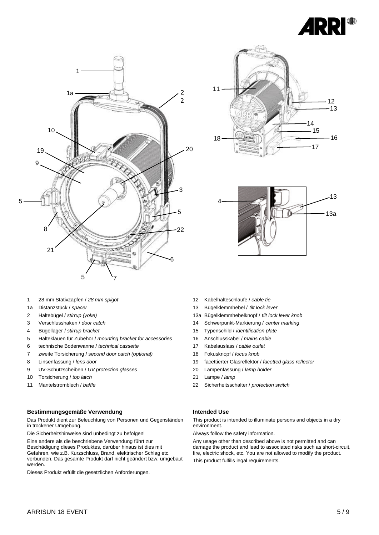







- 28 mm Stativzapfen / *28 mm spigot*
- 1a Distanzstück / *spacer*
- Haltebügel / *stirrup (yoke)*
- Verschlusshaken / *door catch*
- Bügellager / *stirrup bracket*
- Halteklauen für Zubehör / *mounting bracket for accessories*
- technische Bodenwanne / *technical cassette*
- zweite Torsicherung / *second door catch (optional)*
- Linsenfassung / *lens door*
- UV-Schutzscheiben / *UV protection glasses*
- Torsicherung / *top latch*
- Mantelstromblech / *baffle*

# **Bestimmungsgemäße Verwendung**

Das Produkt dient zur Beleuchtung von Personen und Gegenständen in trockener Umgebung.

Die Sicherheitshinweise sind unbedingt zu befolgen!

Eine andere als die beschriebene Verwendung führt zur Beschädigung dieses Produktes, darüber hinaus ist dies mit Gefahren, wie z.B. Kurzschluss, Brand, elektrischer Schlag etc. verbunden. Das gesamte Produkt darf nicht geändert bzw. umgebaut werden.

Dieses Produkt erfüllt die gesetzlichen Anforderungen.

- Kabelhalteschlaufe / *cable tie*
- Bügelklemmhebel / *tilt lock lever*
- 13a Bügelklemmhebelknopf / *tilt lock lever knob*
- Schwerpunkt-Markierung / *center marking*
- Typenschild / *identification plate*
- Anschlusskabel / *mains cable*
- Kabelauslass / *cable outlet*
- Fokusknopf / *focus knob*
- facettierter Glasreflektor / *facetted glass reflector*
- Lampenfassung / *lamp holder*
- Lampe / *lamp*
- Sicherheitsschalter / *protection switch*

# **Intended Use**

This product is intended to illuminate persons and objects in a dry environment.

Always follow the safety information.

Any usage other than described above is not permitted and can damage the product and lead to associated risks such as short-circuit, fire, electric shock, etc. You are not allowed to modify the product. This product fulfills legal requirements.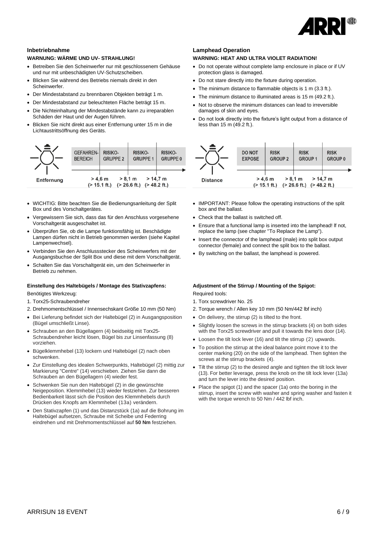

### **Inbetriebnahme**

### **WARNUNG: WÄRME UND UV- STRAHLUNG!**

- Betreiben Sie den Scheinwerfer nur mit geschlossenem Gehäuse und nur mit unbeschädigten UV-Schutzscheiben.
- Blicken Sie während des Betriebs niemals direkt in den Scheinwerfer.
- Der Mindestabstand zu brennbaren Objekten beträgt 1 m.
- Der Mindestabstand zur beleuchteten Fläche beträgt 15 m.
- Die Nichteinhaltung der Mindestabstände kann zu irreparablen Schäden der Haut und der Augen führen.
- Blicken Sie nicht direkt aus einer Entfernung unter 15 m in die Lichtaustrittsöffnung des Geräts.



- WICHTIG: Bitte beachten Sie die Bedienungsanleitung der Split Box und des Vorschaltgerätes.
- Vergewissern Sie sich, dass das für den Anschluss vorgesehene Vorschaltgerät ausgeschaltet ist.
- Überprüfen Sie, ob die Lampe funktionsfähig ist. Beschädigte Lampen dürfen nicht in Betrieb genommen werden (siehe Kapitel Lampenwechsel).
- Verbinden Sie den Anschlussstecker des Scheinwerfers mit der Ausgangsbuchse der Split Box und diese mit dem Vorschaltgerät.
- Schalten Sie das Vorschaltgerät ein, um den Scheinwerfer in Betrieb zu nehmen.

#### **Einstellung des Haltebügels / Montage des Stativzapfens:**

Benötigtes Werkzeug:

- 1. Torx25-Schraubendreher
- 2. Drehmomentschlüssel / Innensechskant Größe 10 mm (50 Nm)
- Bei Lieferung befindet sich der Haltebügel (2) in Ausgangsposition (Bügel umschließt Linse).
- Schrauben an den Bügellagern (4) beidseitig mit Torx25- Schraubendreher leicht lösen, Bügel bis zur Linsenfassung (8) vorziehen.
- Bügelklemmhebel (13) lockern und Haltebügel (2) nach oben schwenken.
- Zur Einstellung des idealen Schwerpunkts, Haltebügel (2) mittig zur Markierung "Centre" (14) verschieben. Ziehen Sie dann die Schrauben an den Bügellagern (4) wieder fest.
- Schwenken Sie nun den Haltebügel (2) in die gewünschte Neigeposition. Klemmhebel (13) wieder festziehen. Zur besseren Bedienbarkeit lässt sich die Position des Klemmhebels durch Drücken des Knopfs am Klemmhebel (13a) verändern.
- Den Stativzapfen (1) und das Distanzstück (1a) auf die Bohrung im Haltebügel aufsetzen, Schraube mit Scheibe und Federring eindrehen und mit Drehmomentschlüssel auf **50 Nm** festziehen.

#### **Lamphead Operation**

# **WARNING: HEAT AND ULTRA VIOLET RADIATION!**

- Do not operate without complete lamp enclosure in place or if UV protection glass is damaged.
- Do not stare directly into the fixture during operation.
- The minimum distance to flammable objects is 1 m (3.3 ft.).
- The minimum distance to illuminated areas is 15 m (49.2 ft.).
- Not to observe the minimum distances can lead to irreversible damages of skin and eyes.
- Do not look directly into the fixture's light output from a distance of less than 15 m (49.2 ft.).



- IMPORTANT: Please follow the operating instructions of the split box and the ballast.
- Check that the ballast is switched off.
- Ensure that a functional lamp is inserted into the lamphead! lf not, replace the lamp (see chapter "To Replace the Lamp").
- Insert the connector of the lamphead (male) into split box output connector (female) and connect the split box to the ballast.
- By switching on the ballast, the lamphead is powered.

# **Adjustment of the Stirrup / Mounting of the Spigot:** Required tools:

1. Torx screwdriver No. 25

- 2. Torque wrench / Allen key 10 mm (50 Nm/442 lbf inch)
- On delivery, the stirrup (2) is tilted to the front.
- Slightly loosen the screws in the stirrup brackets (4) on both sides with the Torx25 screwdriver and pull it towards the lens door (14).
- Loosen the tilt lock lever (16) and tilt the stirrup (2) upwards.
- To position the stirrup at the ideal balance point move it to the center marking (20) on the side of the lamphead. Then tighten the screws at the stirrup brackets (4).
- Tilt the stirrup (2) to the desired angle and tighten the tilt lock lever (13). For better leverage, press the knob on the tilt lock lever (13a) and turn the lever into the desired position.
- Place the spigot (1) and the spacer (1a) onto the boring in the stirrup, insert the screw with washer and spring washer and fasten it with the torque wrench to 50 Nm / 442 lbf inch.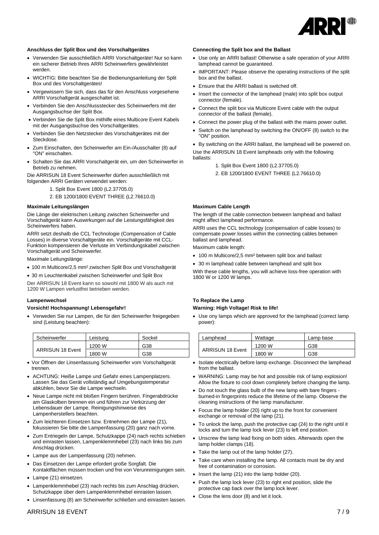

### **Anschluss der Split Box und des Vorschaltgerätes**

- Verwenden Sie ausschließlich ARRI Vorschaltgeräte! Nur so kann ein sicherer Betrieb Ihres ARRI Scheinwerfers gewährleistet werden.
- WICHTIG: Bitte beachten Sie die Bedienungsanleitung der Split Box und des Vorschaltgerätes!
- Vergewissern Sie sich, dass das für den Anschluss vorgesehene ARRI Vorschaltgerät ausgeschaltet ist.
- Verbinden Sie den Anschlussstecker des Scheinwerfers mit der Ausgangsbuchse der Split Box.
- Verbinden Sie die Split Box mithilfe eines Multicore Event Kabels mit der Ausgangsbuchse des Vorschaltgerätes.
- Verbinden Sie den Netzstecker des Vorschaltgerätes mit der Steckdose.
- Zum Einschalten, den Scheinwerfer am Ein-/Ausschalter (8) auf "ON" einschalten.
- Schalten Sie das ARRI Vorschaltgerät ein, um den Scheinwerfer in Betrieb zu nehmen.

Die ARRISUN 18 Event Scheinwerfer dürfen ausschließlich mit folgenden ARRI Geräten verwendet werden:

- 1. Split Box Event 1800 (L2.37705.0)
- 2. EB 1200/1800 EVENT THREE (L2.76610.0)

#### **Maximale Leitungslängen**

Die Länge der elektrischen Leitung zwischen Scheinwerfer und Vorschaltgerät kann Auswirkungen auf die Leistungsfähigkeit des Scheinwerfers haben.

ARRI setzt deshalb die CCL Technologie (Compensation of Cable Losses) in diverse Vorschaltgeräte ein. Vorschaltgeräte mit CCL-Funktion kompensieren die Verluste im Verbindungskabel zwischen Vorschaltgerät und Scheinwerfer.

Maximale Leitungslänge:

- 100 m Multicore/2,5 mm² zwischen Split Box und Vorschaltgerät
- 30 m Leuchtenkabel zwischen Scheinwerfer und Split Box

Der ARRISUN 18 Event kann so sowohl mit 1800 W als auch mit 1200 W Lampen verlustfrei betrieben werden.

#### **Lampenwechsel**

### **Vorsicht! Hochspannung! Lebensgefahr!**

• Verweden Sie nur Lampen, die für den Scheinwerfer freigegeben sind (Leistung beachten):

| Scheinwerfer            | Leistung | Sockel |
|-------------------------|----------|--------|
|                         | 1200 W   | G38    |
| <b>ARRISUN 18 Event</b> | 1800 W   | G38    |

- Vor Öffnen der Linsenfassung Scheinwerfer vom Vorschaltgerät trennen.
- ACHTUNG: Heiße Lampe und Gefahr eines Lampenplatzers. Lassen Sie das Gerät vollständig auf Umgebungstemperatur abkühlen, bevor Sie die Lampe wechseln.
- Neue Lampe nicht mit bloßen Fingern berühren. Fingerabdrücke am Glaskolben brennen ein und führen zur Verkürzung der Lebensdauer der Lampe. Reinigungshinweise des Lampenherstellers beachten.
- Zum leichteren Einsetzen bzw. Entnehmen der Lampe (21), fokussieren Sie bitte die Lampenfassung (20) ganz nach vorne.
- Zum Entriegeln der Lampe, Schutzkappe (24) nach rechts schieben und einrasten lassen, Lampenklemmhebel (23) nach links bis zum Anschlag drücken.
- Lampe aus der Lampenfassung (20) nehmen.
- Das Einsetzen der Lampe erfordert große Sorgfalt. Die Kontaktflächen müssen trocken und frei von Verunreinigungen sein.
- Lampe (21) einsetzen.
- Lampenklemmhebel (23) nach rechts bis zum Anschlag drücken, Schutzkappe über dem Lampenklemmhebel einrasten lassen.
- Linsenfassung (8) am Scheinwerfer schließen und einrasten lassen.

#### **Connecting the Split box and the Ballast**

- Use only an ARRI ballast! Otherwise a safe operation of your ARRI lamphead cannot be guaranteed.
- IMPORTANT: Please observe the operating instructions of the split box and the ballast.
- Ensure that the ARRI ballast is switched off.
- Insert the connector of the lamphead (male) into split box output connector (female).
- Connect the split box via Multicore Event cable with the output connector of the ballast (female).
- Connect the power plug of the ballast with the mains power outlet.
- Switch on the lamphead by switching the ON/OFF (8) switch to the "ON" position.

• By switching on the ARRI ballast, the lamphead will be powered on. Use the ARRISUN 18 Event lampheads only with the following ballasts:

- 1. Split Box Event 1800 (L2.37705.0)
- 2. EB 1200/1800 EVENT THREE (L2.76610.0)

### **Maximum Cable Length**

The length of the cable connection between lamphead and ballast might affect lamphead performance.

ARRI uses the CCL technology (compensation of cable losses) to compensate power losses within the connecting cables between ballast and lamphead.

Maximum cable length:

- 100 m Multicore/2,5 mm² between split box and ballast
	- 30 m lamphead cable between lamphead and split box

With these cable lengths, you will achieve loss-free operation with 1800 W or 1200 W lamps.

# **To Replace the Lamp Warning: High Voltage! Risk to life!**

• Use ony lamps which are approved for the lamphead (correct lamp power):

| Lamphead                | Wattage | Lamp base |
|-------------------------|---------|-----------|
|                         | 1200 W  | G38       |
| <b>ARRISUN 18 Event</b> | 1800 W  | G38       |

- Isolate electrically before lamp exchange. Disconnect the lamphead from the ballast.
- WARNING: Lamp may be hot and possible risk of lamp explosion! Allow the fixture to cool down completely before changing the lamp.
- Do not touch the glass bulb of the new lamp with bare fingers burned-in fingerprints reduce the lifetime of the lamp. Observe the cleaning instructions of the lamp manufacturer.
- Focus the lamp holder (20) right up to the front for convenient exchange or removal of the lamp (21).
- To unlock the lamp, push the protective cap (24) to the right until it locks and turn the lamp lock lever (23) to left end position.
- Unscrew the lamp lead fixing on both sides. Afterwards open the lamp holder clamps (18).
- Take the lamp out of the lamp holder (27).
- Take care when installing the lamp. All contacts must be dry and free of contamination or corrosion.
- Insert the lamp (21) into the lamp holder (20).
- Push the lamp lock lever (23) to right end position, slide the protective cap back over the lamp lock lever.
- Close the lens door (8) and let it lock.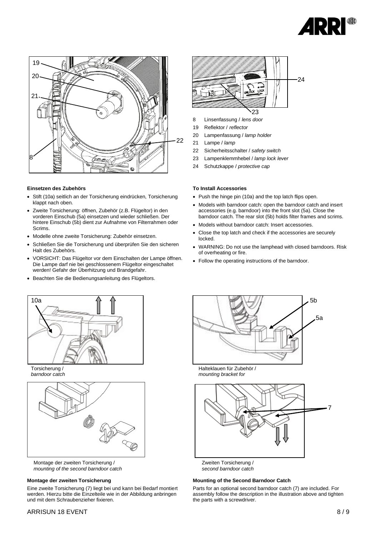



#### **Einsetzen des Zubehörs**

- Stift (10a) seitlich an der Torsicherung eindrücken, Torsicherung klappt nach oben.
- Zweite Torsicherung: öffnen, Zubehör (z.B. Flügeltor) in den vorderen Einschub (5a) einsetzen und wieder schließen. Der hintere Einschub (5b) dient zur Aufnahme von Filterrahmen oder Scrims.
- Modelle ohne zweite Torsicherung: Zubehör einsetzen.
- Schließen Sie die Torsicherung und überprüfen Sie den sicheren Halt des Zubehörs.
- VORSICHT: Das Flügeltor vor dem Einschalten der Lampe öffnen. Die Lampe darf nie bei geschlossenem Flügeltor eingeschaltet werden! Gefahr der Überhitzung und Brandgefahr.
- Beachten Sie die Bedienungsanleitung des Flügeltors.



Torsicherung / *barndoor catch*



Montage der zweiten Torsicherung / *mounting of the second barndoor catch*

#### **Montage der zweiten Torsicherung**

Eine zweite Torsicherung (7) liegt bei und kann bei Bedarf montiert werden. Hierzu bitte die Einzelteile wie in der Abbildung anbringen und mit dem Schraubenzieher fixieren.



- 8 Linsenfassung / *lens door*
- 19 Reflektor / *reflector*
- 20 Lampenfassung / *lamp holder*
- 21 Lampe / *lamp*
- 22 Sicherheitsschalter / *safety switch*
- 23 Lampenklemmhebel / *lamp lock lever*
- 24 Schutzkappe / *protective cap*

#### **To Install Accessories**

- Push the hinge pin (10a) and the top latch flips open.
- Models with barndoor catch: open the barndoor catch and insert accessories (e.g. barndoor) into the front slot (5a). Close the barndoor catch. The rear slot (5b) holds filter frames and scrims.
- Models without barndoor catch: Insert accessories.
- Close the top latch and check if the accessories are securely locked.
- WARNING: Do not use the lamphead with closed barndoors. Risk of overheating or fire.
- Follow the operating instructions of the barndoor.



Halteklauen für Zubehör / *mounting bracket for* 



Zweiten Torsicherung / *second barndoor catch*

#### **Mounting of the Second Barndoor Catch**

Parts for an optional second barndoor catch (7) are included. For assembly follow the description in the illustration above and tighten the parts with a screwdriver.

# ARRISUN 18 EVENT  $8/9$